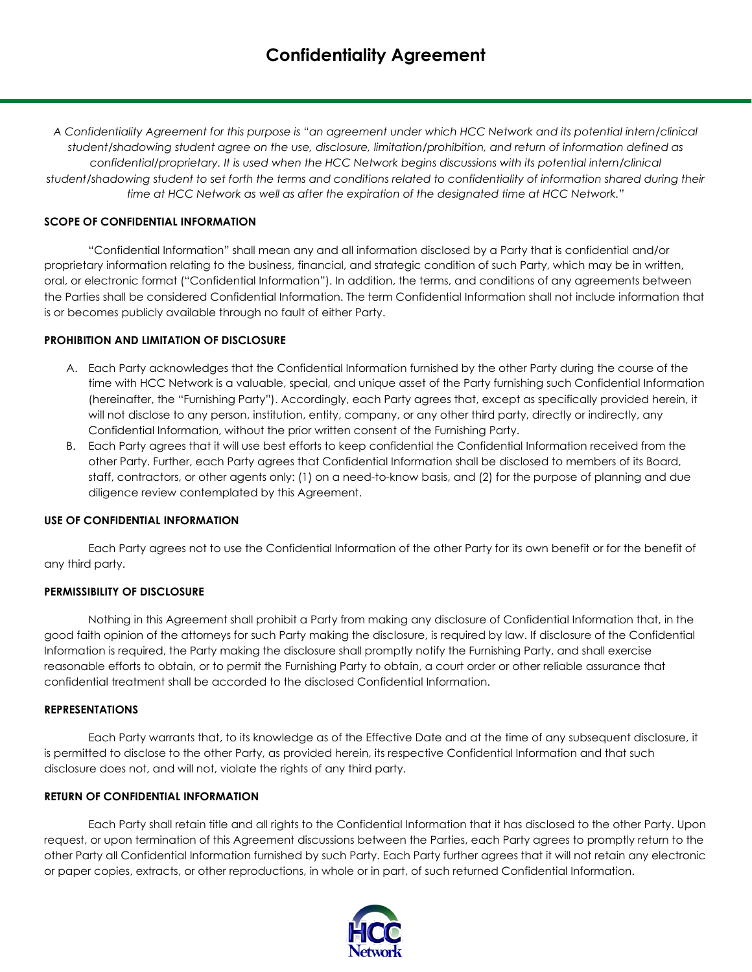*A Confidentiality Agreement for this purpose is "an agreement under which HCC Network and its potential intern/clinical student/shadowing student agree on the use, disclosure, limitation/prohibition, and return of information defined as confidential/proprietary. It is used when the HCC Network begins discussions with its potential intern/clinical student/shadowing student to set forth the terms and conditions related to confidentiality of information shared during their time at HCC Network as well as after the expiration of the designated time at HCC Network."*

# **SCOPE OF CONFIDENTIAL INFORMATION**

"Confidential Information" shall mean any and all information disclosed by a Party that is confidential and/or proprietary information relating to the business, financial, and strategic condition of such Party, which may be in written, oral, or electronic format ("Confidential Information"). In addition, the terms, and conditions of any agreements between the Parties shall be considered Confidential Information. The term Confidential Information shall not include information that is or becomes publicly available through no fault of either Party.

## **PROHIBITION AND LIMITATION OF DISCLOSURE**

- A. Each Party acknowledges that the Confidential Information furnished by the other Party during the course of the time with HCC Network is a valuable, special, and unique asset of the Party furnishing such Confidential Information (hereinafter, the "Furnishing Party"). Accordingly, each Party agrees that, except as specifically provided herein, it will not disclose to any person, institution, entity, company, or any other third party, directly or indirectly, any Confidential Information, without the prior written consent of the Furnishing Party.
- B. Each Party agrees that it will use best efforts to keep confidential the Confidential Information received from the other Party. Further, each Party agrees that Confidential Information shall be disclosed to members of its Board, staff, contractors, or other agents only: (1) on a need-to-know basis, and (2) for the purpose of planning and due diligence review contemplated by this Agreement.

## **USE OF CONFIDENTIAL INFORMATION**

Each Party agrees not to use the Confidential Information of the other Party for its own benefit or for the benefit of any third party.

## **PERMISSIBILITY OF DISCLOSURE**

Nothing in this Agreement shall prohibit a Party from making any disclosure of Confidential Information that, in the good faith opinion of the attorneys for such Party making the disclosure, is required by law. If disclosure of the Confidential Information is required, the Party making the disclosure shall promptly notify the Furnishing Party, and shall exercise reasonable efforts to obtain, or to permit the Furnishing Party to obtain, a court order or other reliable assurance that confidential treatment shall be accorded to the disclosed Confidential Information.

## **REPRESENTATIONS**

Each Party warrants that, to its knowledge as of the Effective Date and at the time of any subsequent disclosure, it is permitted to disclose to the other Party, as provided herein, its respective Confidential Information and that such disclosure does not, and will not, violate the rights of any third party.

## **RETURN OF CONFIDENTIAL INFORMATION**

Each Party shall retain title and all rights to the Confidential Information that it has disclosed to the other Party. Upon request, or upon termination of this Agreement discussions between the Parties, each Party agrees to promptly return to the other Party all Confidential Information furnished by such Party. Each Party further agrees that it will not retain any electronic or paper copies, extracts, or other reproductions, in whole or in part, of such returned Confidential Information.